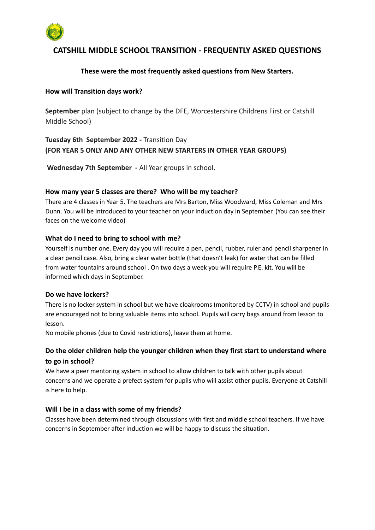

# **CATSHILL MIDDLE SCHOOL TRANSITION - FREQUENTLY ASKED QUESTIONS**

## **These were the most frequently asked questions from New Starters.**

#### **How will Transition days work?**

**September** plan (subject to change by the DFE, Worcestershire Childrens First or Catshill Middle School)

# **Tuesday 6th September 2022 -** Transition Day **(FOR YEAR 5 ONLY AND ANY OTHER NEW STARTERS IN OTHER YEAR GROUPS)**

**Wednesday 7th September -** All Year groups in school.

#### **How many year 5 classes are there? Who will be my teacher?**

There are 4 classes in Year 5. The teachers are Mrs Barton, Miss Woodward, Miss Coleman and Mrs Dunn. You will be introduced to your teacher on your induction day in September. (You can see their faces on the welcome video)

#### **What do I need to bring to school with me?**

Yourself is number one. Every day you will require a pen, pencil, rubber, ruler and pencil sharpener in a clear pencil case. Also, bring a clear water bottle (that doesn't leak) for water that can be filled from water fountains around school . On two days a week you will require P.E. kit. You will be informed which days in September.

#### **Do we have lockers?**

There is no locker system in school but we have cloakrooms (monitored by CCTV) in school and pupils are encouraged not to bring valuable items into school. Pupils will carry bags around from lesson to lesson.

No mobile phones (due to Covid restrictions), leave them at home.

# **Do the older children help the younger children when they first start to understand where to go in school?**

We have a peer mentoring system in school to allow children to talk with other pupils about concerns and we operate a prefect system for pupils who will assist other pupils. Everyone at Catshill is here to help.

#### **Will I be in a class with some of my friends?**

Classes have been determined through discussions with first and middle school teachers. If we have concerns in September after induction we will be happy to discuss the situation.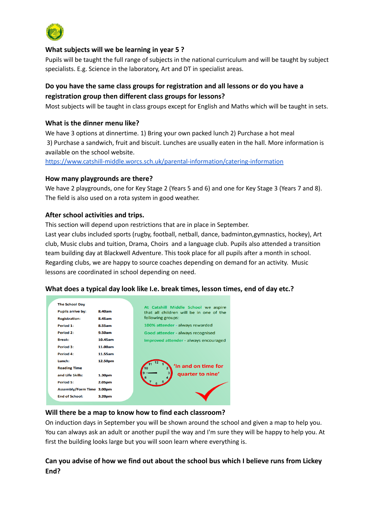

#### **What subjects will we be learning in year 5 ?**

Pupils will be taught the full range of subjects in the national curriculum and will be taught by subject specialists. E.g. Science in the laboratory, Art and DT in specialist areas.

## **Do you have the same class groups for registration and all lessons or do you have a registration group then different class groups for lessons?**

Most subjects will be taught in class groups except for English and Maths which will be taught in sets.

#### **What is the dinner menu like?**

We have 3 options at dinnertime. 1) Bring your own packed lunch 2) Purchase a hot meal 3) Purchase a sandwich, fruit and biscuit. Lunches are usually eaten in the hall. More information is available on the school website.

<https://www.catshill-middle.worcs.sch.uk/parental-information/catering-information>

#### **How many playgrounds are there?**

We have 2 playgrounds, one for Key Stage 2 (Years 5 and 6) and one for Key Stage 3 (Years 7 and 8). The field is also used on a rota system in good weather.

#### **After school activities and trips.**

This section will depend upon restrictions that are in place in September.

Last year clubs included sports (rugby, football, netball, dance, badminton,gymnastics, hockey), Art club, Music clubs and tuition, Drama, Choirs and a language club. Pupils also attended a transition team building day at Blackwell Adventure. This took place for all pupils after a month in school. Regarding clubs, we are happy to source coaches depending on demand for an activity. Music lessons are coordinated in school depending on need.

| <b>The School Day</b><br><b>Pupils arrive by:</b><br><b>Registration:</b> | 8.40am<br>8.45am | At Catshill Middle School we aspire<br>that all children will be in one of the<br>following groups: |
|---------------------------------------------------------------------------|------------------|-----------------------------------------------------------------------------------------------------|
| Period 1:                                                                 | 8.55am           | 100% attender - always rewarded                                                                     |
| Period 2:                                                                 | 9.50am           | Good attender - always recognised                                                                   |
| <b>Break:</b>                                                             | 10.45am          | Improved attender - always encouraged                                                               |
| Period 3:                                                                 | 11.00am          |                                                                                                     |
| Period 4:                                                                 | 11.55am          |                                                                                                     |
| Lunch:                                                                    | 12.50pm          |                                                                                                     |
| <b>Reading Time</b>                                                       |                  | In and on time for                                                                                  |
| and Life Skills:                                                          | 1.30pm           | quarter to nine'                                                                                    |
| Period 5:                                                                 | 2.05pm           |                                                                                                     |
| Assembly/Form Time 3.00pm                                                 |                  |                                                                                                     |
| <b>End of School:</b>                                                     | 3.20pm           |                                                                                                     |

#### **What does a typical day look like I.e. break times, lesson times, end of day etc.?**

#### **Will there be a map to know how to find each classroom?**

On induction days in September you will be shown around the school and given a map to help you. You can always ask an adult or another pupil the way and I'm sure they will be happy to help you. At first the building looks large but you will soon learn where everything is.

# **Can you advise of how we find out about the school bus which I believe runs from Lickey End?**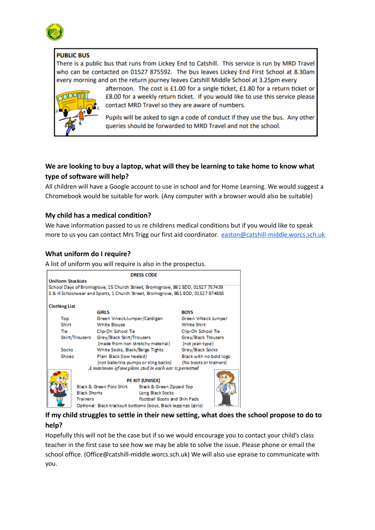

## **PUBLIC BUS**

There is a public bus that runs from Lickey End to Catshill. This service is run by MRD Travel who can be contacted on 01527 875592. The bus leaves Lickey End First School at 8.30am every morning and on the return journey leaves Catshill Middle School at 3.25pm every



afternoon. The cost is £1.00 for a single ticket, £1.80 for a return ticket or £8.00 for a weekly return ticket. If you would like to use this service please contact MRD Travel so they are aware of numbers.

Pupils will be asked to sign a code of conduct if they use the bus. Any other queries should be forwarded to MRD Travel and not the school.

# **We are looking to buy a laptop, what will they be learning to take home to know what type of software will help?**

All children will have a Google account to use in school and for Home Learning. We would suggest a Chromebook would be suitable for work. (Any computer with a browser would also be suitable)

## **My child has a medical condition?**

We have information passed to us re childrens medical conditions but if you would like to speak more to us you can contact Mrs Trigg our first aid coordinator. [easton@catshill-middle.worcs.sch.uk](mailto:easton@catshill-middle.worcs.sch.uk)

## **What uniform do I require?**

A list of uniform you will require is also in the prospectus.



# **If my child struggles to settle in their new setting, what does the school propose to do to help?**

Hopefully this will not be the case but if so we would encourage you to contact your child's class teacher in the first case to see how we may be able to solve the issue. Please phone or email the school office. (Office@catshill-middle.worcs.sch.uk) We will also use epraise to communicate with you.